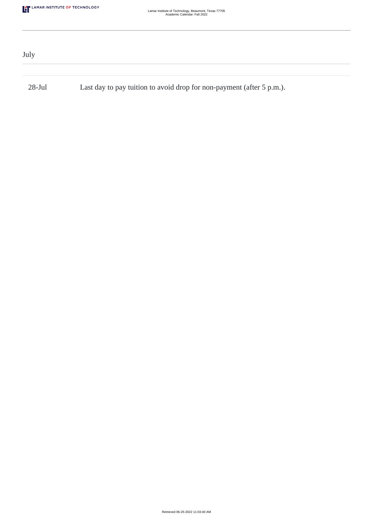| July      |                                                                       |  |
|-----------|-----------------------------------------------------------------------|--|
|           |                                                                       |  |
| $28$ -Jul | Last day to pay tuition to avoid drop for non-payment (after 5 p.m.). |  |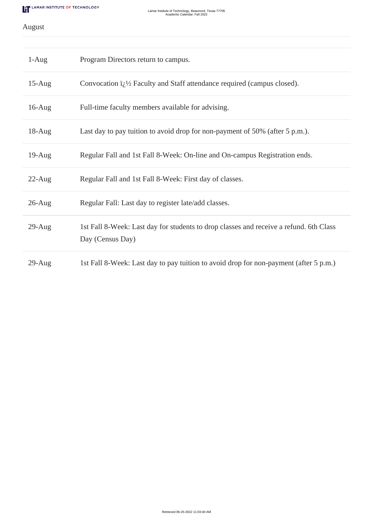## August

| $1-Aug$   | Program Directors return to campus.                                                                        |
|-----------|------------------------------------------------------------------------------------------------------------|
| $15$ -Aug | Convocation $i_{\zeta}$ <sup>1</sup> / <sub>2</sub> Faculty and Staff attendance required (campus closed). |
| $16$ -Aug | Full-time faculty members available for advising.                                                          |
| $18-Aug$  | Last day to pay tuition to avoid drop for non-payment of 50% (after 5 p.m.).                               |
| $19$ -Aug | Regular Fall and 1st Fall 8-Week: On-line and On-campus Registration ends.                                 |
| $22$ -Aug | Regular Fall and 1st Fall 8-Week: First day of classes.                                                    |
| $26$ -Aug | Regular Fall: Last day to register late/add classes.                                                       |
| $29$ -Aug | 1st Fall 8-Week: Last day for students to drop classes and receive a refund. 6th Class<br>Day (Census Day) |
| $29$ -Aug | 1st Fall 8-Week: Last day to pay tuition to avoid drop for non-payment (after 5 p.m.)                      |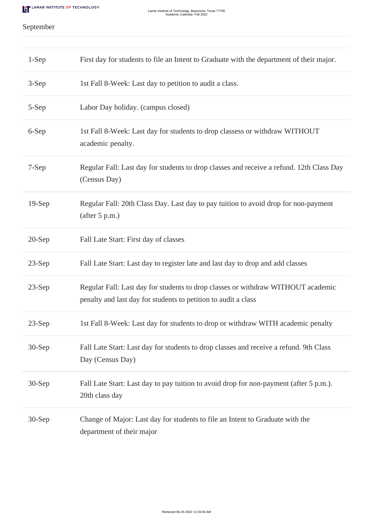# September

| $1-Sep$  | First day for students to file an Intent to Graduate with the department of their major.                                                           |
|----------|----------------------------------------------------------------------------------------------------------------------------------------------------|
| 3-Sep    | 1st Fall 8-Week: Last day to petition to audit a class.                                                                                            |
| 5-Sep    | Labor Day holiday. (campus closed)                                                                                                                 |
| 6-Sep    | 1st Fall 8-Week: Last day for students to drop classess or withdraw WITHOUT<br>academic penalty.                                                   |
| 7-Sep    | Regular Fall: Last day for students to drop classes and receive a refund. 12th Class Day<br>(Census Day)                                           |
| $19-Sep$ | Regular Fall: 20th Class Day. Last day to pay tuition to avoid drop for non-payment<br>(after 5 p.m.)                                              |
| $20-Sep$ | Fall Late Start: First day of classes                                                                                                              |
| $23-Sep$ | Fall Late Start: Last day to register late and last day to drop and add classes                                                                    |
| $23-Sep$ | Regular Fall: Last day for students to drop classes or withdraw WITHOUT academic<br>penalty and last day for students to petition to audit a class |
| $23-Sep$ | 1st Fall 8-Week: Last day for students to drop or withdraw WITH academic penalty                                                                   |
| $30-Sep$ | Fall Late Start: Last day for students to drop classes and receive a refund. 9th Class<br>Day (Census Day)                                         |
| 30-Sep   | Fall Late Start: Last day to pay tuition to avoid drop for non-payment (after 5 p.m.).<br>20th class day                                           |
| 30-Sep   | Change of Major: Last day for students to file an Intent to Graduate with the<br>department of their major                                         |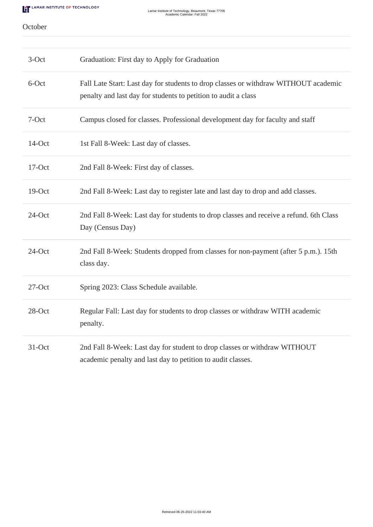#### October

| $3-Oct$   | Graduation: First day to Apply for Graduation                                                                                                         |
|-----------|-------------------------------------------------------------------------------------------------------------------------------------------------------|
| 6-Oct     | Fall Late Start: Last day for students to drop classes or withdraw WITHOUT academic<br>penalty and last day for students to petition to audit a class |
| 7-Oct     | Campus closed for classes. Professional development day for faculty and staff                                                                         |
| 14-Oct    | 1st Fall 8-Week: Last day of classes.                                                                                                                 |
| 17-Oct    | 2nd Fall 8-Week: First day of classes.                                                                                                                |
| 19-Oct    | 2nd Fall 8-Week: Last day to register late and last day to drop and add classes.                                                                      |
| 24-Oct    | 2nd Fall 8-Week: Last day for students to drop classes and receive a refund. 6th Class<br>Day (Census Day)                                            |
| $24$ -Oct | 2nd Fall 8-Week: Students dropped from classes for non-payment (after 5 p.m.). 15th<br>class day.                                                     |
| $27$ -Oct | Spring 2023: Class Schedule available.                                                                                                                |
| 28-Oct    | Regular Fall: Last day for students to drop classes or withdraw WITH academic<br>penalty.                                                             |
| 31-Oct    | 2nd Fall 8-Week: Last day for student to drop classes or withdraw WITHOUT<br>academic penalty and last day to petition to audit classes.              |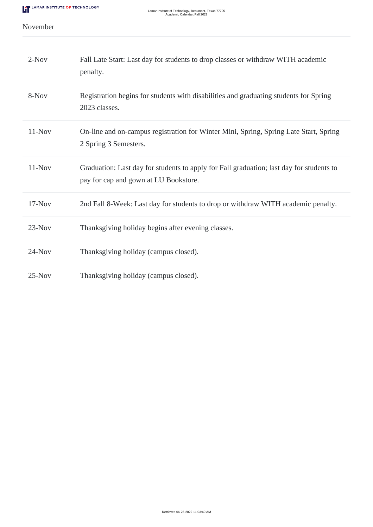### November

| $2-Nov$  | Fall Late Start: Last day for students to drop classes or withdraw WITH academic<br>penalty.                                      |
|----------|-----------------------------------------------------------------------------------------------------------------------------------|
| 8-Nov    | Registration begins for students with disabilities and graduating students for Spring<br>2023 classes.                            |
| $11-Nov$ | On-line and on-campus registration for Winter Mini, Spring, Spring Late Start, Spring<br>2 Spring 3 Semesters.                    |
| $11-Nov$ | Graduation: Last day for students to apply for Fall graduation; last day for students to<br>pay for cap and gown at LU Bookstore. |
| $17-Nov$ | 2nd Fall 8-Week: Last day for students to drop or withdraw WITH academic penalty.                                                 |
| $23-Nov$ | Thanksgiving holiday begins after evening classes.                                                                                |
| $24-Nov$ | Thanksgiving holiday (campus closed).                                                                                             |
| $25-Nov$ | Thanksgiving holiday (campus closed).                                                                                             |